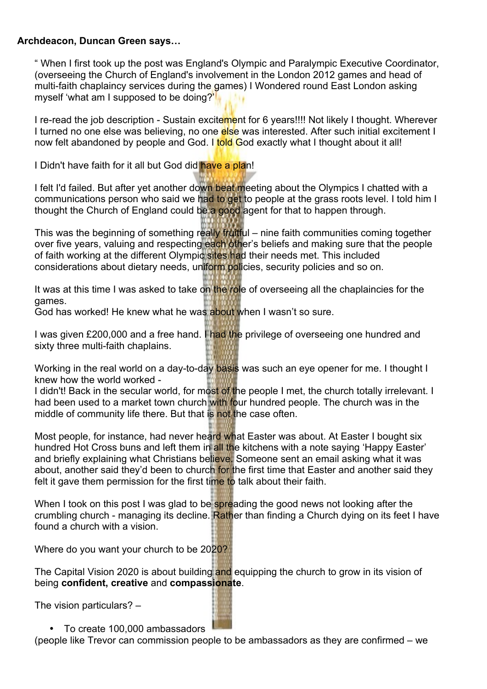## **Archdeacon, Duncan Green says…**

" When I first took up the post was England's Olympic and Paralympic Executive Coordinator, (overseeing the Church of England's involvement in the London 2012 games and head of multi-faith chaplaincy services during the games) I Wondered round East London asking myself 'what am I supposed to be doing?'

I re-read the job description - Sustain excitement for 6 years!!!! Not likely I thought. Wherever I turned no one else was believing, no one else was interested. After such initial excitement I now felt abandoned by people and God. I **told G**od exactly what I thought about it all!

I Didn't have faith for it all but God did have a plan!

I felt I'd failed. But after yet another down beat meeting about the Olympics I chatted with a communications person who said we had to get to people at the grass roots level. I told him I thought the Church of England could be a good agent for that to happen through.

This was the beginning of something really fruitful – nine faith communities coming together over five years, valuing and respecting each other's beliefs and making sure that the people of faith working at the different Olympic sites had their needs met. This included considerations about dietary needs, uniform policies, security policies and so on.

It was at this time I was asked to take on the role of overseeing all the chaplaincies for the games.

God has worked! He knew what he was about when I wasn't so sure.

I was given £200,000 and a free hand. I had the privilege of overseeing one hundred and sixty three multi-faith chaplains.

Working in the real world on a day-to-day basis was such an eye opener for me. I thought I knew how the world worked -

I didn't! Back in the secular world, for most of the people I met, the church totally irrelevant. I had been used to a market town church with four hundred people. The church was in the middle of community life there. But that is not the case often.

Most people, for instance, had never heard what Easter was about. At Easter I bought six hundred Hot Cross buns and left them in all the kitchens with a note saying 'Happy Easter' and briefly explaining what Christians believe. Someone sent an email asking what it was about, another said they'd been to church for the first time that Easter and another said they felt it gave them permission for the first time to talk about their faith.

When I took on this post I was glad to be spreading the good news not looking after the crumbling church - managing its decline. Rather than finding a Church dying on its feet I have found a church with a vision.

Where do you want your church to be 2020?

The Capital Vision 2020 is about building and equipping the church to grow in its vision of being **confident, creative** and **compassionate**.

The vision particulars? –

• To create 100,000 ambassadors

(people like Trevor can commission people to be ambassadors as they are confirmed – we